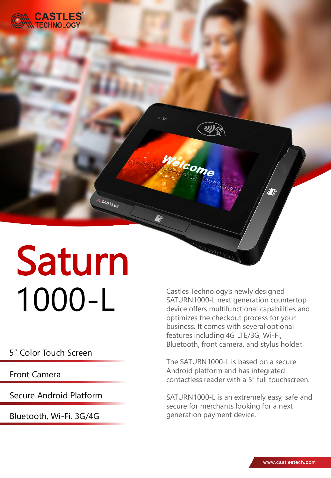

# Saturn 1000-L

CASTLES

### 5" Color Touch Screen

Front Camera

Secure Android Platform

Bluetooth, Wi-Fi, 3G/4G

Castles Technology's newly designed SATURN1000-L next generation countertop device offers multifunctional capabilities and optimizes the checkout process for your business. It comes with several optional features including 4G LTE/3G, Wi-Fi, Bluetooth, front camera, and stylus holder.

Welcome

The SATURN1000-L is based on a secure Android platform and has integrated contactless reader with a 5" full touchscreen.

SATURN1000-L is an extremely easy, safe and secure for merchants looking for a next generation payment device.